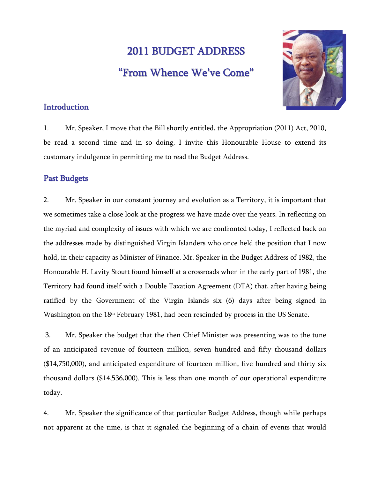# 2011 BUDGET ADDRESS "From Whence We ' ve Come "



## **Introduction**

1. Mr. Speaker, I move that the Bill shortly entitled, the Appropriation (2011) Act, 2010, be read a second time and in so doing, I invite this Honourable House to extend its customary indulgence in permitting me to read the Budget Address.

## Past Budgets

2. Mr. Speaker in our constant journey and evolution as a Territory, it is important that we sometimes take a close look at the progress we have made over the years. In reflecting on the myriad and complexity of issues with which we are confronted today, I reflected back on the addresses made by distinguished Virgin Islanders who once held the position that I now hold, in their capacity as Minister of Finance. Mr. Speaker in the Budget Address of 1982, the Honourable H. Lavity Stoutt found himself at a crossroads when in the early part of 1981, the Territory had found itself with a Double Taxation Agreement (DTA) that, after having being ratified by the Government of the Virgin Islands six (6) days after being signed in Washington on the 18th February 1981, had been rescinded by process in the US Senate.

 3. Mr. Speaker the budget that the then Chief Minister was presenting was to the tune of an anticipated revenue of fourteen million, seven hundred and fifty thousand dollars (\$14,750,000), and anticipated expenditure of fourteen million, five hundred and thirty six thousand dollars (\$14,536,000). This is less than one month of our operational expenditure today.

4. Mr. Speaker the significance of that particular Budget Address, though while perhaps not apparent at the time, is that it signaled the beginning of a chain of events that would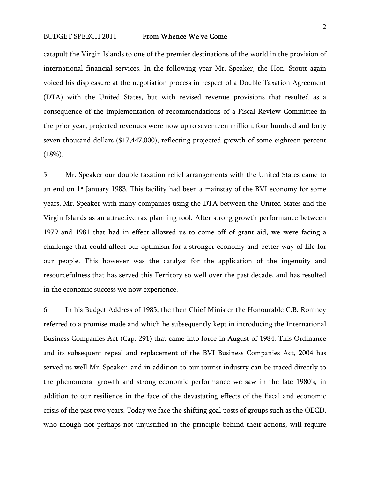catapult the Virgin Islands to one of the premier destinations of the world in the provision of international financial services. In the following year Mr. Speaker, the Hon. Stoutt again voiced his displeasure at the negotiation process in respect of a Double Taxation Agreement (DTA) with the United States, but with revised revenue provisions that resulted as a consequence of the implementation of recommendations of a Fiscal Review Committee in the prior year, projected revenues were now up to seventeen million, four hundred and forty seven thousand dollars (\$17,447,000), reflecting projected growth of some eighteen percent  $(18%)$ .

5. Mr. Speaker our double taxation relief arrangements with the United States came to an end on  $1<sup>st</sup>$  January 1983. This facility had been a mainstay of the BVI economy for some years, Mr. Speaker with many companies using the DTA between the United States and the Virgin Islands as an attractive tax planning tool. After strong growth performance between 1979 and 1981 that had in effect allowed us to come off of grant aid, we were facing a challenge that could affect our optimism for a stronger economy and better way of life for our people. This however was the catalyst for the application of the ingenuity and resourcefulness that has served this Territory so well over the past decade, and has resulted in the economic success we now experience.

6. In his Budget Address of 1985, the then Chief Minister the Honourable C.B. Romney referred to a promise made and which he subsequently kept in introducing the International Business Companies Act (Cap. 291) that came into force in August of 1984. This Ordinance and its subsequent repeal and replacement of the BVI Business Companies Act, 2004 has served us well Mr. Speaker, and in addition to our tourist industry can be traced directly to the phenomenal growth and strong economic performance we saw in the late 1980's, in addition to our resilience in the face of the devastating effects of the fiscal and economic crisis of the past two years. Today we face the shifting goal posts of groups such as the OECD, who though not perhaps not unjustified in the principle behind their actions, will require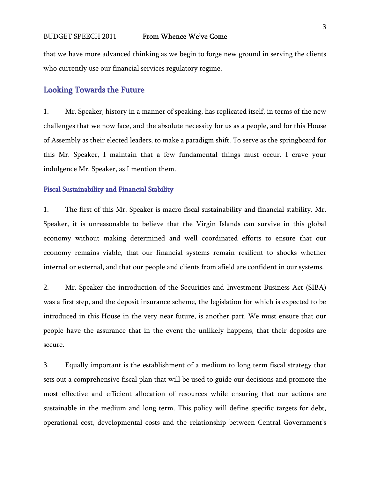that we have more advanced thinking as we begin to forge new ground in serving the clients who currently use our financial services regulatory regime.

## Looking Towards the Future

1. Mr. Speaker, history in a manner of speaking, has replicated itself, in terms of the new challenges that we now face, and the absolute necessity for us as a people, and for this House of Assembly as their elected leaders, to make a paradigm shift. To serve as the springboard for this Mr. Speaker, I maintain that a few fundamental things must occur. I crave your indulgence Mr. Speaker, as I mention them.

#### Fiscal Sustainability and Financial Stability

1. The first of this Mr. Speaker is macro fiscal sustainability and financial stability. Mr. Speaker, it is unreasonable to believe that the Virgin Islands can survive in this global economy without making determined and well coordinated efforts to ensure that our economy remains viable, that our financial systems remain resilient to shocks whether internal or external, and that our people and clients from afield are confident in our systems.

2. Mr. Speaker the introduction of the Securities and Investment Business Act (SIBA) was a first step, and the deposit insurance scheme, the legislation for which is expected to be introduced in this House in the very near future, is another part. We must ensure that our people have the assurance that in the event the unlikely happens, that their deposits are secure.

3. Equally important is the establishment of a medium to long term fiscal strategy that sets out a comprehensive fiscal plan that will be used to guide our decisions and promote the most effective and efficient allocation of resources while ensuring that our actions are sustainable in the medium and long term. This policy will define specific targets for debt, operational cost, developmental costs and the relationship between Central Government's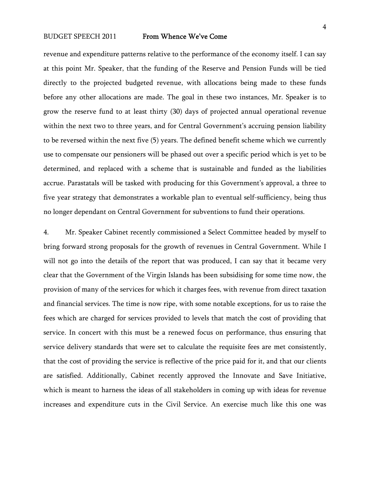revenue and expenditure patterns relative to the performance of the economy itself. I can say at this point Mr. Speaker, that the funding of the Reserve and Pension Funds will be tied directly to the projected budgeted revenue, with allocations being made to these funds before any other allocations are made. The goal in these two instances, Mr. Speaker is to grow the reserve fund to at least thirty (30) days of projected annual operational revenue within the next two to three years, and for Central Government's accruing pension liability to be reversed within the next five (5) years. The defined benefit scheme which we currently use to compensate our pensioners will be phased out over a specific period which is yet to be determined, and replaced with a scheme that is sustainable and funded as the liabilities accrue. Parastatals will be tasked with producing for this Government's approval, a three to five year strategy that demonstrates a workable plan to eventual self-sufficiency, being thus no longer dependant on Central Government for subventions to fund their operations.

4. Mr. Speaker Cabinet recently commissioned a Select Committee headed by myself to bring forward strong proposals for the growth of revenues in Central Government. While I will not go into the details of the report that was produced, I can say that it became very clear that the Government of the Virgin Islands has been subsidising for some time now, the provision of many of the services for which it charges fees, with revenue from direct taxation and financial services. The time is now ripe, with some notable exceptions, for us to raise the fees which are charged for services provided to levels that match the cost of providing that service. In concert with this must be a renewed focus on performance, thus ensuring that service delivery standards that were set to calculate the requisite fees are met consistently, that the cost of providing the service is reflective of the price paid for it, and that our clients are satisfied. Additionally, Cabinet recently approved the Innovate and Save Initiative, which is meant to harness the ideas of all stakeholders in coming up with ideas for revenue increases and expenditure cuts in the Civil Service. An exercise much like this one was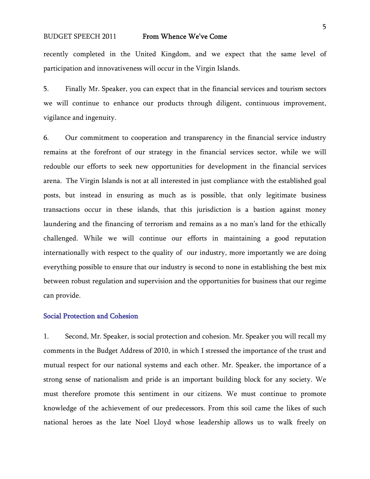recently completed in the United Kingdom, and we expect that the same level of participation and innovativeness will occur in the Virgin Islands.

5. Finally Mr. Speaker, you can expect that in the financial services and tourism sectors we will continue to enhance our products through diligent, continuous improvement, vigilance and ingenuity.

6. Our commitment to cooperation and transparency in the financial service industry remains at the forefront of our strategy in the financial services sector, while we will redouble our efforts to seek new opportunities for development in the financial services arena. The Virgin Islands is not at all interested in just compliance with the established goal posts, but instead in ensuring as much as is possible, that only legitimate business transactions occur in these islands, that this jurisdiction is a bastion against money laundering and the financing of terrorism and remains as a no man's land for the ethically challenged. While we will continue our efforts in maintaining a good reputation internationally with respect to the quality of our industry, more importantly we are doing everything possible to ensure that our industry is second to none in establishing the best mix between robust regulation and supervision and the opportunities for business that our regime can provide.

#### Social Protection and Cohesion

1. Second, Mr. Speaker, is social protection and cohesion. Mr. Speaker you will recall my comments in the Budget Address of 2010, in which I stressed the importance of the trust and mutual respect for our national systems and each other. Mr. Speaker, the importance of a strong sense of nationalism and pride is an important building block for any society. We must therefore promote this sentiment in our citizens. We must continue to promote knowledge of the achievement of our predecessors. From this soil came the likes of such national heroes as the late Noel Lloyd whose leadership allows us to walk freely on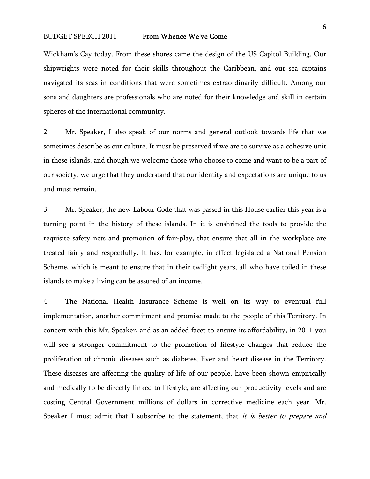Wickham's Cay today. From these shores came the design of the US Capitol Building. Our shipwrights were noted for their skills throughout the Caribbean, and our sea captains navigated its seas in conditions that were sometimes extraordinarily difficult. Among our sons and daughters are professionals who are noted for their knowledge and skill in certain spheres of the international community.

2. Mr. Speaker, I also speak of our norms and general outlook towards life that we sometimes describe as our culture. It must be preserved if we are to survive as a cohesive unit in these islands, and though we welcome those who choose to come and want to be a part of our society, we urge that they understand that our identity and expectations are unique to us and must remain.

3. Mr. Speaker, the new Labour Code that was passed in this House earlier this year is a turning point in the history of these islands. In it is enshrined the tools to provide the requisite safety nets and promotion of fair-play, that ensure that all in the workplace are treated fairly and respectfully. It has, for example, in effect legislated a National Pension Scheme, which is meant to ensure that in their twilight years, all who have toiled in these islands to make a living can be assured of an income.

4. The National Health Insurance Scheme is well on its way to eventual full implementation, another commitment and promise made to the people of this Territory. In concert with this Mr. Speaker, and as an added facet to ensure its affordability, in 2011 you will see a stronger commitment to the promotion of lifestyle changes that reduce the proliferation of chronic diseases such as diabetes, liver and heart disease in the Territory. These diseases are affecting the quality of life of our people, have been shown empirically and medically to be directly linked to lifestyle, are affecting our productivity levels and are costing Central Government millions of dollars in corrective medicine each year. Mr. Speaker I must admit that I subscribe to the statement, that it is better to prepare and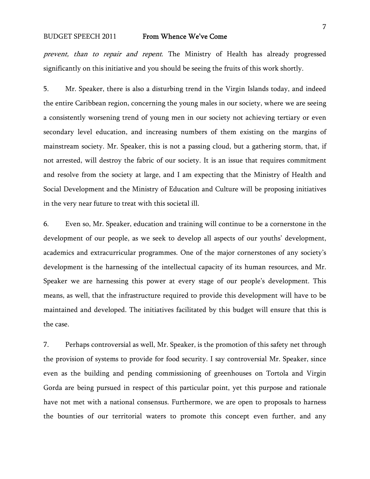prevent, than to repair and repent. The Ministry of Health has already progressed significantly on this initiative and you should be seeing the fruits of this work shortly.

5. Mr. Speaker, there is also a disturbing trend in the Virgin Islands today, and indeed the entire Caribbean region, concerning the young males in our society, where we are seeing a consistently worsening trend of young men in our society not achieving tertiary or even secondary level education, and increasing numbers of them existing on the margins of mainstream society. Mr. Speaker, this is not a passing cloud, but a gathering storm, that, if not arrested, will destroy the fabric of our society. It is an issue that requires commitment and resolve from the society at large, and I am expecting that the Ministry of Health and Social Development and the Ministry of Education and Culture will be proposing initiatives in the very near future to treat with this societal ill.

6. Even so, Mr. Speaker, education and training will continue to be a cornerstone in the development of our people, as we seek to develop all aspects of our youths' development, academics and extracurricular programmes. One of the major cornerstones of any society's development is the harnessing of the intellectual capacity of its human resources, and Mr. Speaker we are harnessing this power at every stage of our people's development. This means, as well, that the infrastructure required to provide this development will have to be maintained and developed. The initiatives facilitated by this budget will ensure that this is the case.

7. Perhaps controversial as well, Mr. Speaker, is the promotion of this safety net through the provision of systems to provide for food security. I say controversial Mr. Speaker, since even as the building and pending commissioning of greenhouses on Tortola and Virgin Gorda are being pursued in respect of this particular point, yet this purpose and rationale have not met with a national consensus. Furthermore, we are open to proposals to harness the bounties of our territorial waters to promote this concept even further, and any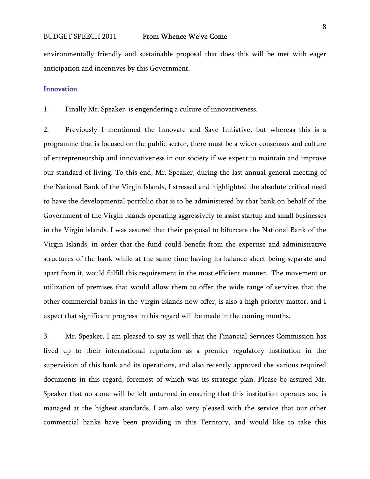environmentally friendly and sustainable proposal that does this will be met with eager anticipation and incentives by this Government.

#### Innovation

1. Finally Mr. Speaker, is engendering a culture of innovativeness.

2. Previously I mentioned the Innovate and Save Initiative, but whereas this is a programme that is focused on the public sector, there must be a wider consensus and culture of entrepreneurship and innovativeness in our society if we expect to maintain and improve our standard of living. To this end, Mr. Speaker, during the last annual general meeting of the National Bank of the Virgin Islands, I stressed and highlighted the absolute critical need to have the developmental portfolio that is to be administered by that bank on behalf of the Government of the Virgin Islands operating aggressively to assist startup and small businesses in the Virgin islands. I was assured that their proposal to bifurcate the National Bank of the Virgin Islands, in order that the fund could benefit from the expertise and administrative structures of the bank while at the same time having its balance sheet being separate and apart from it, would fulfill this requirement in the most efficient manner. The movement or utilization of premises that would allow them to offer the wide range of services that the other commercial banks in the Virgin Islands now offer, is also a high priority matter, and I expect that significant progress in this regard will be made in the coming months.

3. Mr. Speaker, I am pleased to say as well that the Financial Services Commission has lived up to their international reputation as a premier regulatory institution in the supervision of this bank and its operations, and also recently approved the various required documents in this regard, foremost of which was its strategic plan. Please be assured Mr. Speaker that no stone will be left unturned in ensuring that this institution operates and is managed at the highest standards. I am also very pleased with the service that our other commercial banks have been providing in this Territory, and would like to take this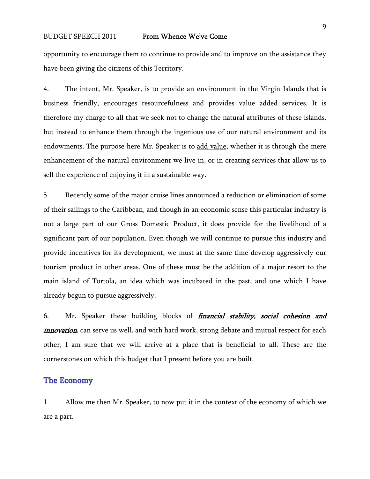opportunity to encourage them to continue to provide and to improve on the assistance they have been giving the citizens of this Territory.

4. The intent, Mr. Speaker, is to provide an environment in the Virgin Islands that is business friendly, encourages resourcefulness and provides value added services. It is therefore my charge to all that we seek not to change the natural attributes of these islands, but instead to enhance them through the ingenious use of our natural environment and its endowments. The purpose here Mr. Speaker is to add value, whether it is through the mere enhancement of the natural environment we live in, or in creating services that allow us to sell the experience of enjoying it in a sustainable way.

5. Recently some of the major cruise lines announced a reduction or elimination of some of their sailings to the Caribbean, and though in an economic sense this particular industry is not a large part of our Gross Domestic Product, it does provide for the livelihood of a significant part of our population. Even though we will continue to pursue this industry and provide incentives for its development, we must at the same time develop aggressively our tourism product in other areas. One of these must be the addition of a major resort to the main island of Tortola, an idea which was incubated in the past, and one which I have already begun to pursue aggressively.

6. Mr. Speaker these building blocks of *financial stability, social cohesion and innovation*, can serve us well, and with hard work, strong debate and mutual respect for each other, I am sure that we will arrive at a place that is beneficial to all. These are the cornerstones on which this budget that I present before you are built.

### The Economy

1. Allow me then Mr. Speaker, to now put it in the context of the economy of which we are a part.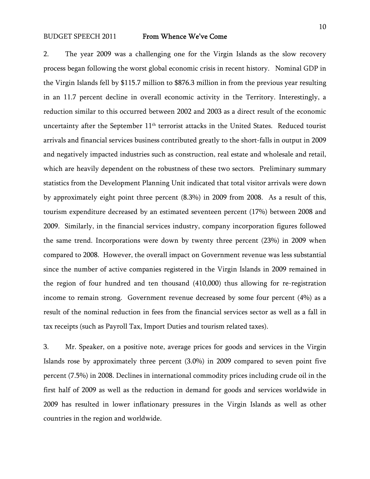2. The year 2009 was a challenging one for the Virgin Islands as the slow recovery process began following the worst global economic crisis in recent history. Nominal GDP in the Virgin Islands fell by \$115.7 million to \$876.3 million in from the previous year resulting in an 11.7 percent decline in overall economic activity in the Territory. Interestingly, a reduction similar to this occurred between 2002 and 2003 as a direct result of the economic uncertainty after the September 11<sup>th</sup> terrorist attacks in the United States. Reduced tourist arrivals and financial services business contributed greatly to the short-falls in output in 2009 and negatively impacted industries such as construction, real estate and wholesale and retail, which are heavily dependent on the robustness of these two sectors. Preliminary summary statistics from the Development Planning Unit indicated that total visitor arrivals were down by approximately eight point three percent (8.3%) in 2009 from 2008. As a result of this, tourism expenditure decreased by an estimated seventeen percent (17%) between 2008 and 2009. Similarly, in the financial services industry, company incorporation figures followed the same trend. Incorporations were down by twenty three percent (23%) in 2009 when compared to 2008. However, the overall impact on Government revenue was less substantial since the number of active companies registered in the Virgin Islands in 2009 remained in the region of four hundred and ten thousand (410,000) thus allowing for re-registration income to remain strong. Government revenue decreased by some four percent (4%) as a result of the nominal reduction in fees from the financial services sector as well as a fall in tax receipts (such as Payroll Tax, Import Duties and tourism related taxes).

3. Mr. Speaker, on a positive note, average prices for goods and services in the Virgin Islands rose by approximately three percent (3.0%) in 2009 compared to seven point five percent (7.5%) in 2008. Declines in international commodity prices including crude oil in the first half of 2009 as well as the reduction in demand for goods and services worldwide in 2009 has resulted in lower inflationary pressures in the Virgin Islands as well as other countries in the region and worldwide.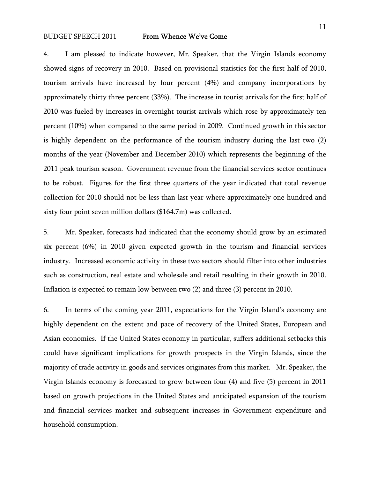4. I am pleased to indicate however, Mr. Speaker, that the Virgin Islands economy showed signs of recovery in 2010. Based on provisional statistics for the first half of 2010, tourism arrivals have increased by four percent (4%) and company incorporations by approximately thirty three percent (33%). The increase in tourist arrivals for the first half of 2010 was fueled by increases in overnight tourist arrivals which rose by approximately ten percent (10%) when compared to the same period in 2009. Continued growth in this sector is highly dependent on the performance of the tourism industry during the last two (2) months of the year (November and December 2010) which represents the beginning of the 2011 peak tourism season. Government revenue from the financial services sector continues to be robust. Figures for the first three quarters of the year indicated that total revenue collection for 2010 should not be less than last year where approximately one hundred and sixty four point seven million dollars (\$164.7m) was collected.

5. Mr. Speaker, forecasts had indicated that the economy should grow by an estimated six percent (6%) in 2010 given expected growth in the tourism and financial services industry. Increased economic activity in these two sectors should filter into other industries such as construction, real estate and wholesale and retail resulting in their growth in 2010. Inflation is expected to remain low between two (2) and three (3) percent in 2010.

6. In terms of the coming year 2011, expectations for the Virgin Island's economy are highly dependent on the extent and pace of recovery of the United States, European and Asian economies. If the United States economy in particular, suffers additional setbacks this could have significant implications for growth prospects in the Virgin Islands, since the majority of trade activity in goods and services originates from this market. Mr. Speaker, the Virgin Islands economy is forecasted to grow between four (4) and five (5) percent in 2011 based on growth projections in the United States and anticipated expansion of the tourism and financial services market and subsequent increases in Government expenditure and household consumption.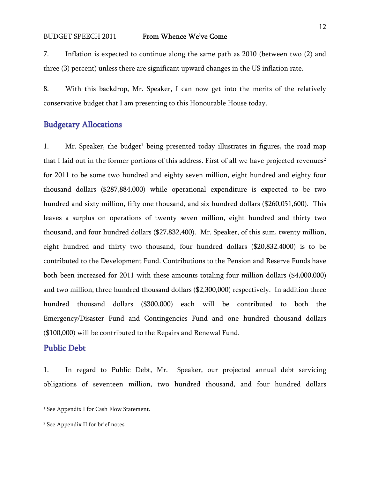7. Inflation is expected to continue along the same path as 2010 (between two (2) and three (3) percent) unless there are significant upward changes in the US inflation rate.

8. With this backdrop, Mr. Speaker, I can now get into the merits of the relatively conservative budget that I am presenting to this Honourable House today.

## Budgetary Allocations

[1](#page-11-0). Mr. Speaker, the budget<sup>1</sup> being presented today illustrates in figures, the road map that I laid out in the former portions of this address. First of all we have projected revenues<sup>[2](#page-11-1)</sup> for 2011 to be some two hundred and eighty seven million, eight hundred and eighty four thousand dollars (\$287,884,000) while operational expenditure is expected to be two hundred and sixty million, fifty one thousand, and six hundred dollars (\$260,051,600). This leaves a surplus on operations of twenty seven million, eight hundred and thirty two thousand, and four hundred dollars (\$27,832,400). Mr. Speaker, of this sum, twenty million, eight hundred and thirty two thousand, four hundred dollars (\$20,832.4000) is to be contributed to the Development Fund. Contributions to the Pension and Reserve Funds have both been increased for 2011 with these amounts totaling four million dollars (\$4,000,000) and two million, three hundred thousand dollars (\$2,300,000) respectively. In addition three hundred thousand dollars (\$300,000) each will be contributed to both the Emergency/Disaster Fund and Contingencies Fund and one hundred thousand dollars (\$100,000) will be contributed to the Repairs and Renewal Fund.

## Public Debt

1. In regard to Public Debt, Mr. Speaker, our projected annual debt servicing obligations of seventeen million, two hundred thousand, and four hundred dollars

<span id="page-11-0"></span><sup>&</sup>lt;sup>1</sup> See Appendix I for Cash Flow Statement.

<span id="page-11-1"></span><sup>2</sup> See Appendix II for brief notes.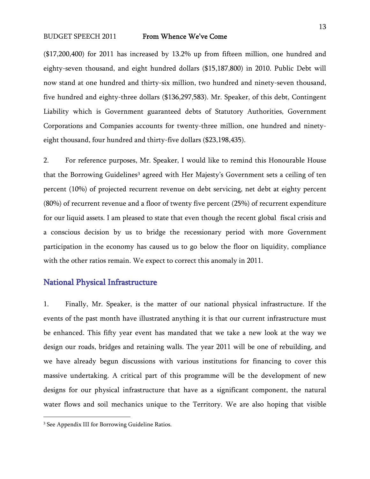(\$17,200,400) for 2011 has increased by 13.2% up from fifteen million, one hundred and eighty-seven thousand, and eight hundred dollars (\$15,187,800) in 2010. Public Debt will now stand at one hundred and thirty-six million, two hundred and ninety-seven thousand, five hundred and eighty-three dollars (\$136,297,583). Mr. Speaker, of this debt, Contingent Liability which is Government guaranteed debts of Statutory Authorities, Government Corporations and Companies accounts for twenty-three million, one hundred and ninetyeight thousand, four hundred and thirty-five dollars (\$23,198,435).

2. For reference purposes, Mr. Speaker, I would like to remind this Honourable House that the Borrowing Guidelines<sup>[3](#page-12-0)</sup> agreed with Her Majesty's Government sets a ceiling of ten percent (10%) of projected recurrent revenue on debt servicing, net debt at eighty percent (80%) of recurrent revenue and a floor of twenty five percent (25%) of recurrent expenditure for our liquid assets. I am pleased to state that even though the recent global fiscal crisis and a conscious decision by us to bridge the recessionary period with more Government participation in the economy has caused us to go below the floor on liquidity, compliance with the other ratios remain. We expect to correct this anomaly in 2011.

## National Physical Infrastructure

1. Finally, Mr. Speaker, is the matter of our national physical infrastructure. If the events of the past month have illustrated anything it is that our current infrastructure must be enhanced. This fifty year event has mandated that we take a new look at the way we design our roads, bridges and retaining walls. The year 2011 will be one of rebuilding, and we have already begun discussions with various institutions for financing to cover this massive undertaking. A critical part of this programme will be the development of new designs for our physical infrastructure that have as a significant component, the natural water flows and soil mechanics unique to the Territory. We are also hoping that visible

<span id="page-12-0"></span><sup>&</sup>lt;sup>3</sup> See Appendix III for Borrowing Guideline Ratios.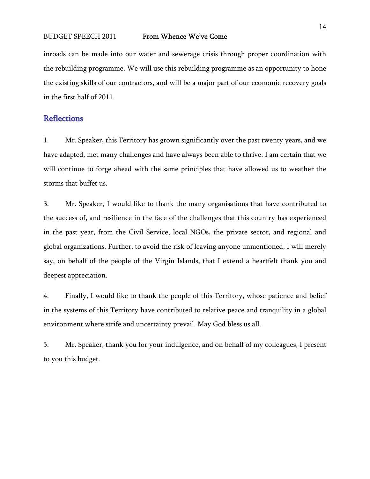inroads can be made into our water and sewerage crisis through proper coordination with the rebuilding programme. We will use this rebuilding programme as an opportunity to hone the existing skills of our contractors, and will be a major part of our economic recovery goals in the first half of 2011.

## **Reflections**

1. Mr. Speaker, this Territory has grown significantly over the past twenty years, and we have adapted, met many challenges and have always been able to thrive. I am certain that we will continue to forge ahead with the same principles that have allowed us to weather the storms that buffet us.

3. Mr. Speaker, I would like to thank the many organisations that have contributed to the success of, and resilience in the face of the challenges that this country has experienced in the past year, from the Civil Service, local NGOs, the private sector, and regional and global organizations. Further, to avoid the risk of leaving anyone unmentioned, I will merely say, on behalf of the people of the Virgin Islands, that I extend a heartfelt thank you and deepest appreciation.

4. Finally, I would like to thank the people of this Territory, whose patience and belief in the systems of this Territory have contributed to relative peace and tranquility in a global environment where strife and uncertainty prevail. May God bless us all.

5. Mr. Speaker, thank you for your indulgence, and on behalf of my colleagues, I present to you this budget.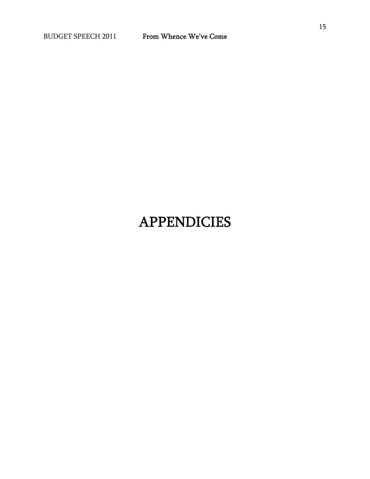15

# APPENDICIES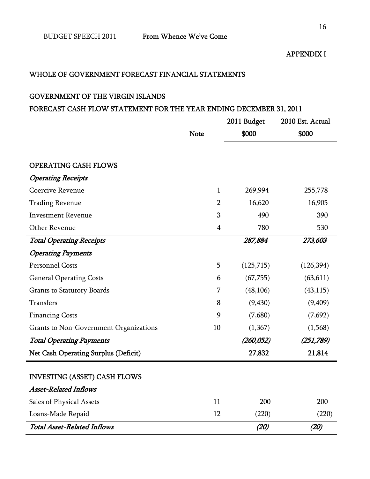## WHOLE OF GOVERNMENT FORECAST FINANCIAL STATEMENTS

## GOVERNMENT OF THE VIRGIN ISLANDS

## FORECAST CASH FLOW STATEMENT FOR THE YEAR ENDING DECEMBER 31, 2011

|                                               |                | 2011 Budget | 2010 Est. Actual |  |
|-----------------------------------------------|----------------|-------------|------------------|--|
|                                               | <b>Note</b>    | \$000       | \$000            |  |
|                                               |                |             |                  |  |
| <b>OPERATING CASH FLOWS</b>                   |                |             |                  |  |
| <b>Operating Receipts</b>                     |                |             |                  |  |
| Coercive Revenue                              | 1              | 269,994     | 255,778          |  |
| <b>Trading Revenue</b>                        | $\overline{2}$ | 16,620      | 16,905           |  |
| <b>Investment Revenue</b>                     | 3              | 490         | 390              |  |
| Other Revenue                                 | $\overline{4}$ | 780         | 530              |  |
| <b>Total Operating Receipts</b>               |                | 287,884     | 273,603          |  |
| <b>Operating Payments</b>                     |                |             |                  |  |
| <b>Personnel Costs</b>                        | 5              | (125, 715)  | (126, 394)       |  |
| <b>General Operating Costs</b>                | 6              | (67, 755)   | (63, 611)        |  |
| <b>Grants to Statutory Boards</b>             | 7              | (48, 106)   | (43, 115)        |  |
| <b>Transfers</b>                              | 8              | (9, 430)    | (9, 409)         |  |
| <b>Financing Costs</b>                        | 9              | (7,680)     | (7,692)          |  |
| <b>Grants to Non-Government Organizations</b> | 10             | (1,367)     | (1,568)          |  |
| <b>Total Operating Payments</b>               |                | (260, 052)  | (251, 789)       |  |
| Net Cash Operating Surplus (Deficit)          |                | 27,832      | 21,814           |  |
|                                               |                |             |                  |  |
| <b>INVESTING (ASSET) CASH FLOWS</b>           |                |             |                  |  |
| <b>Asset-Related Inflows</b>                  |                |             |                  |  |
| Sales of Physical Assets                      | 11             | 200         | 200              |  |
| Loans-Made Repaid                             | 12             | (220)       | (220)            |  |
| <b>Total Asset-Related Inflows</b>            |                | (20)        | (20)             |  |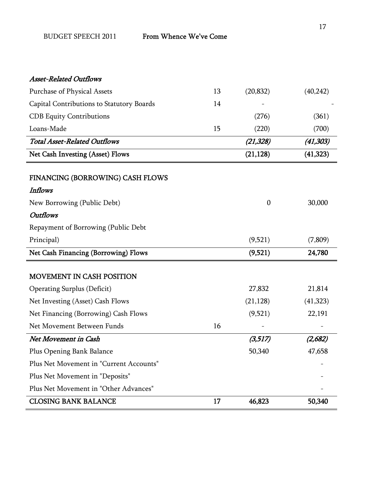## Asset-Related Outflows

| <b>Purchase of Physical Assets</b>        | 13 | (20, 832)        | (40, 242) |
|-------------------------------------------|----|------------------|-----------|
| Capital Contributions to Statutory Boards | 14 |                  |           |
| <b>CDB</b> Equity Contributions           |    | (276)            | (361)     |
| Loans-Made                                | 15 | (220)            | (700)     |
| <b>Total Asset-Related Outflows</b>       |    | (21, 328)        | (41, 303) |
| Net Cash Investing (Asset) Flows          |    | (21, 128)        | (41, 323) |
| FINANCING (BORROWING) CASH FLOWS          |    |                  |           |
| Inflows                                   |    |                  |           |
| New Borrowing (Public Debt)               |    | $\boldsymbol{0}$ | 30,000    |
| <b>Outflows</b>                           |    |                  |           |
| Repayment of Borrowing (Public Debt       |    |                  |           |
| Principal)                                |    | (9,521)          | (7,809)   |
|                                           |    |                  | 24,780    |
| Net Cash Financing (Borrowing) Flows      |    | (9,521)          |           |
| MOVEMENT IN CASH POSITION                 |    |                  |           |
| <b>Operating Surplus (Deficit)</b>        |    | 27,832           | 21,814    |
| Net Investing (Asset) Cash Flows          |    | (21, 128)        | (41, 323) |
| Net Financing (Borrowing) Cash Flows      |    | (9,521)          | 22,191    |
| Net Movement Between Funds                | 16 |                  |           |
| Net Movement in Cash                      |    | (3,517)          | (2,682)   |
| Plus Opening Bank Balance                 |    | 50,340           | 47,658    |
| Plus Net Movement in "Current Accounts"   |    |                  |           |
| Plus Net Movement in "Deposits"           |    |                  |           |
| Plus Net Movement in "Other Advances"     |    |                  |           |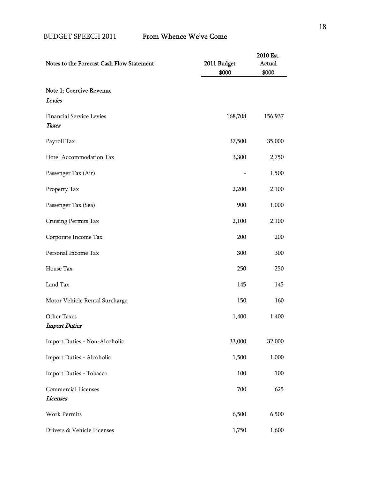| Notes to the Forecast Cash Flow Statement     | 2011 Budget<br>\$000 | 2010 Est.<br>Actual<br>\$000 |
|-----------------------------------------------|----------------------|------------------------------|
| Note 1: Coercive Revenue<br>Levies            |                      |                              |
| <b>Financial Service Levies</b><br>Taxes      | 168,708              | 156,937                      |
| Payroll Tax                                   | 37,500               | 35,000                       |
| Hotel Accommodation Tax                       | 3,300                | 2,750                        |
| Passenger Tax (Air)                           |                      | 1,500                        |
| Property Tax                                  | 2,200                | 2,100                        |
| Passenger Tax (Sea)                           | 900                  | 1,000                        |
| Cruising Permits Tax                          | 2,100                | 2,100                        |
| Corporate Income Tax                          | 200                  | 200                          |
| Personal Income Tax                           | 300                  | 300                          |
| House Tax                                     | 250                  | 250                          |
| Land Tax                                      | 145                  | 145                          |
| Motor Vehicle Rental Surcharge                | 150                  | 160                          |
| Other Taxes<br><b>Import Duties</b>           | 1,400                | 1,400                        |
| Import Duties - Non-Alcoholic                 | 33,000               | 32,000                       |
| Import Duties - Alcoholic                     | 1,500                | 1,000                        |
| Import Duties - Tobacco                       | 100                  | 100                          |
| <b>Commercial Licenses</b><br><b>Licenses</b> | 700                  | 625                          |
| Work Permits                                  | 6,500                | 6,500                        |
| Drivers & Vehicle Licenses                    | 1,750                | 1,600                        |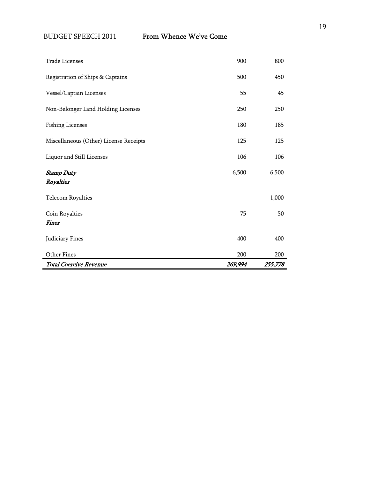| <b>Total Coercive Revenue</b>          | 269,994 | 255,778 |
|----------------------------------------|---------|---------|
| Other Fines                            | 200     | 200     |
| Judiciary Fines                        | 400     | 400     |
| Fines                                  |         |         |
| Coin Royalties                         | 75      | 50      |
| <b>Telecom Royalties</b>               |         | 1,000   |
| <b>Stamp Duty</b><br>Royalties         | 6,500   | 6,500   |
| Liquor and Still Licenses              | 106     | 106     |
| Miscellaneous (Other) License Receipts | 125     | 125     |
| <b>Fishing Licenses</b>                | 180     | 185     |
| Non-Belonger Land Holding Licenses     | 250     | 250     |
| Vessel/Captain Licenses                | 55      | 45      |
| Registration of Ships & Captains       | 500     | 450     |
| <b>Trade Licenses</b>                  | 900     | 800     |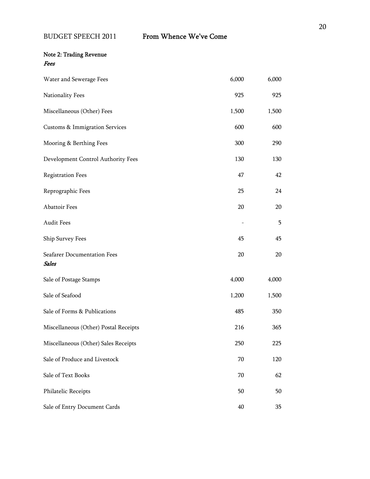## Note 2: Trading Revenue Fees

| Water and Sewerage Fees                     | 6,000 | 6,000 |
|---------------------------------------------|-------|-------|
| Nationality Fees                            | 925   | 925   |
| Miscellaneous (Other) Fees                  | 1,500 | 1,500 |
| <b>Customs &amp; Immigration Services</b>   | 600   | 600   |
| Mooring & Berthing Fees                     | 300   | 290   |
| Development Control Authority Fees          | 130   | 130   |
| <b>Registration Fees</b>                    | 47    | 42    |
| Reprographic Fees                           | 25    | 24    |
| Abattoir Fees                               | 20    | 20    |
| Audit Fees                                  |       | 5     |
| Ship Survey Fees                            | 45    | 45    |
| Seafarer Documentation Fees<br><b>Sales</b> | 20    | 20    |
| Sale of Postage Stamps                      | 4,000 | 4,000 |
| Sale of Seafood                             | 1,200 | 1,500 |
| Sale of Forms & Publications                | 485   | 350   |
| Miscellaneous (Other) Postal Receipts       | 216   | 365   |
| Miscellaneous (Other) Sales Receipts        | 250   | 225   |
| Sale of Produce and Livestock               | 70    | 120   |
| Sale of Text Books                          | 70    | 62    |
| Philatelic Receipts                         | 50    | 50    |
| Sale of Entry Document Cards                | 40    | 35    |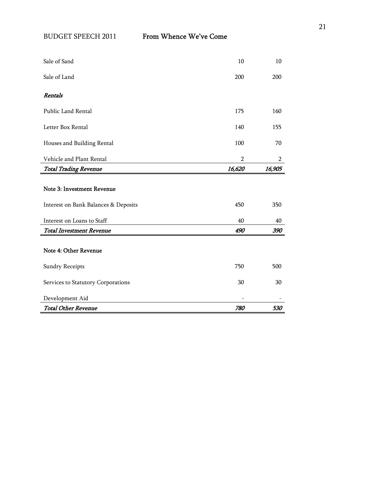| <b>Total Other Revenue</b>           | 780            | 530            |
|--------------------------------------|----------------|----------------|
| Development Aid                      |                |                |
| Services to Statutory Corporations   | 30             | 30             |
| <b>Sundry Receipts</b>               | 750            | 500            |
| Note 4: Other Revenue                |                |                |
| <b>Total Investment Revenue</b>      | 490            | 390            |
| Interest on Loans to Staff           | 40             | 40             |
| Interest on Bank Balances & Deposits | 450            | 350            |
| <b>Note 3: Investment Revenue</b>    |                |                |
| <b>Total Trading Revenue</b>         | 16,620         | 16,905         |
| Vehicle and Plant Rental             | $\overline{2}$ | $\overline{2}$ |
| Houses and Building Rental           | 100            | 70             |
| Letter Box Rental                    | 140            | 155            |
| Public Land Rental                   | 175            | 160            |
| Rentals                              |                |                |
| Sale of Land                         | 200            | 200            |
| Sale of Sand                         | 10             | 10             |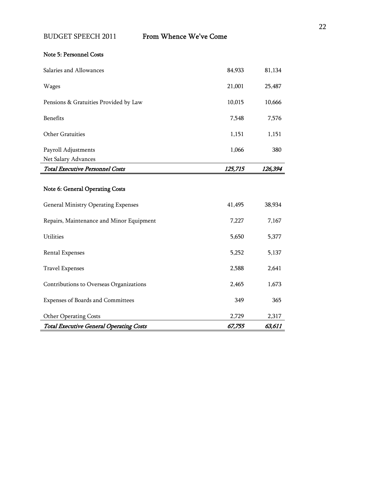## Note 5: Personnel Costs

 $\blacksquare$ 

| Salaries and Allowances                                                       | 84,933  | 81,134  |
|-------------------------------------------------------------------------------|---------|---------|
| <b>Wages</b>                                                                  | 21,001  | 25,487  |
| Pensions & Gratuities Provided by Law                                         | 10,015  | 10,666  |
| <b>Benefits</b>                                                               | 7,548   | 7,576   |
| Other Gratuities                                                              | 1,151   | 1,151   |
| Payroll Adjustments                                                           | 1,066   | 380     |
| Net Salary Advances                                                           |         |         |
| <b>Total Executive Personnel Costs</b>                                        | 125,715 | 126,394 |
| Note 6: General Operating Costs<br><b>General Ministry Operating Expenses</b> | 41,495  | 38,934  |
| Repairs, Maintenance and Minor Equipment                                      | 7,227   | 7,167   |
| Utilities                                                                     | 5,650   | 5,377   |
| <b>Rental Expenses</b>                                                        | 5,252   | 5,137   |
| <b>Travel Expenses</b>                                                        | 2,588   | 2,641   |
| Contributions to Overseas Organizations                                       | 2,465   | 1,673   |
| Expenses of Boards and Committees                                             | 349     | 365     |
| <b>Other Operating Costs</b>                                                  | 2,729   | 2,317   |
| <b>Total Executive General Operating Costs</b>                                | 67,755  | 63,611  |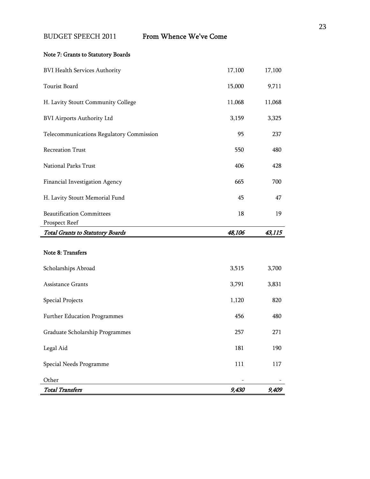## Note 7: Grants to Statutory Boards

| <b>BVI Health Services Authority</b>              | 17,100 | 17,100 |
|---------------------------------------------------|--------|--------|
| Tourist Board                                     | 15,000 | 9,711  |
| H. Lavity Stoutt Community College                | 11,068 | 11,068 |
| <b>BVI Airports Authority Ltd</b>                 | 3,159  | 3,325  |
| Telecommunications Regulatory Commission          | 95     | 237    |
| <b>Recreation Trust</b>                           | 550    | 480    |
| National Parks Trust                              | 406    | 428    |
| Financial Investigation Agency                    | 665    | 700    |
| H. Lavity Stoutt Memorial Fund                    | 45     | 47     |
| <b>Beautification Committees</b><br>Prospect Reef | 18     | 19     |
| <b>Total Grants to Statutory Boards</b>           | 48,106 | 43,115 |
| Note 8: Transfers<br>Scholarships Abroad          | 3,515  | 3,700  |
| Assistance Grants                                 | 3,791  | 3,831  |
| <b>Special Projects</b>                           | 1,120  | 820    |
| Further Education Programmes                      | 456    | 480    |
| Graduate Scholarship Programmes                   | 257    | 271    |
| Legal Aid                                         | 181    | 190    |
| Special Needs Programme                           | 111    | 117    |
| Other                                             |        |        |
| <b>Total Transfers</b>                            | 9,430  | 9,409  |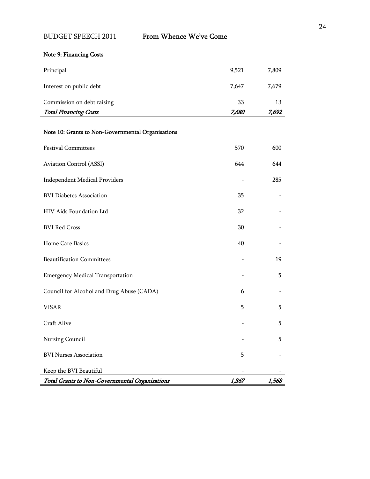## Note 9: Financing Costs

| Principal                    |       |       |
|------------------------------|-------|-------|
| Interest on public debt      | 7.647 | 7,679 |
| Commission on debt raising   | 33    | 13    |
| <b>Total Financing Costs</b> | 7,680 | 7,692 |

## Note 10: Grants to Non-Governmental Organisations

| <b>Festival Committees</b>                     | 570   | 600   |
|------------------------------------------------|-------|-------|
| Aviation Control (ASSI)                        | 644   | 644   |
| <b>Independent Medical Providers</b>           |       | 285   |
| <b>BVI Diabetes Association</b>                | 35    |       |
| HIV Aids Foundation Ltd                        | 32    |       |
| <b>BVI Red Cross</b>                           | 30    |       |
| Home Care Basics                               | 40    |       |
| <b>Beautification Committees</b>               |       | 19    |
| <b>Emergency Medical Transportation</b>        |       | 5     |
| Council for Alcohol and Drug Abuse (CADA)      | 6     |       |
| <b>VISAR</b>                                   | 5     | 5     |
| Craft Alive                                    |       | 5     |
| Nursing Council                                |       | 5     |
| <b>BVI Nurses Association</b>                  | 5     |       |
| Keep the BVI Beautiful                         |       |       |
| Total Grants to Non-Governmental Organisations | 1,367 | 1,568 |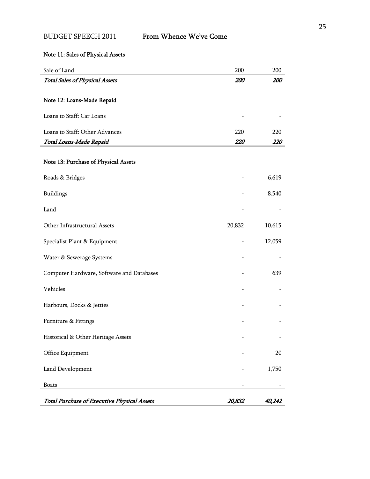## Note 11: Sales of Physical Assets

| Sale of Land                                       | 200    | 200    |
|----------------------------------------------------|--------|--------|
| <b>Total Sales of Physical Assets</b>              | 200    | 200    |
| Note 12: Loans-Made Repaid                         |        |        |
|                                                    |        |        |
| Loans to Staff: Car Loans                          |        |        |
| Loans to Staff: Other Advances                     | 220    | 220    |
| Total Loans-Made Repaid                            | 220    | 220    |
| Note 13: Purchase of Physical Assets               |        |        |
| Roads & Bridges                                    |        | 6,619  |
| Buildings                                          |        | 8,540  |
| Land                                               |        |        |
| Other Infrastructural Assets                       | 20,832 | 10,615 |
| Specialist Plant & Equipment                       |        | 12,059 |
| Water & Sewerage Systems                           |        |        |
| Computer Hardware, Software and Databases          |        | 639    |
| Vehicles                                           |        |        |
| Harbours, Docks & Jetties                          |        |        |
| Furniture & Fittings                               |        |        |
| Historical & Other Heritage Assets                 |        |        |
| Office Equipment                                   |        | 20     |
| Land Development                                   |        | 1,750  |
| <b>Boats</b>                                       |        |        |
| <b>Total Purchase of Executive Physical Assets</b> | 20,832 | 40,242 |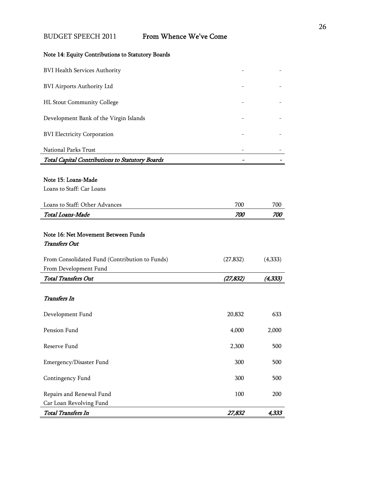|  | Note 14: Equity Contributions to Statutory Boards |  |
|--|---------------------------------------------------|--|

| <b>BVI Health Services Authority</b>                                    |           |            |
|-------------------------------------------------------------------------|-----------|------------|
| <b>BVI Airports Authority Ltd</b>                                       |           |            |
| HL Stout Community College                                              |           |            |
| Development Bank of the Virgin Islands                                  |           |            |
| <b>BVI Electricity Corporation</b>                                      |           |            |
| National Parks Trust                                                    |           |            |
| Total Capital Contributions to Statutory Boards                         |           |            |
| Note 15: Loans-Made                                                     |           |            |
| Loans to Staff: Car Loans                                               |           |            |
| Loans to Staff: Other Advances                                          | 700       | 700        |
| Total Loans-Made                                                        | 700       | <i>700</i> |
|                                                                         |           |            |
| Note 16: Net Movement Between Funds                                     |           |            |
| <b>Transfers Out</b>                                                    |           |            |
|                                                                         |           |            |
| From Consolidated Fund (Contribution to Funds)<br>From Development Fund | (27, 832) | (4,333)    |
| <b>Total Transfers Out</b>                                              | (27, 832) | (4, 333)   |
|                                                                         |           |            |
| <b>Transfers</b> In                                                     |           |            |
| Development Fund                                                        | 20,832    | 633        |
| Pension Fund                                                            | 4,000     | 2,000      |
| Reserve Fund                                                            | 2,300     | 500        |
| Emergency/Disaster Fund                                                 | 300       | 500        |
| Contingency Fund                                                        | 300       | 500        |
| Repairs and Renewal Fund                                                | 100       | 200        |
| Car Loan Revolving Fund                                                 |           |            |
| Total Transfers In                                                      | 27,832    | 4,333      |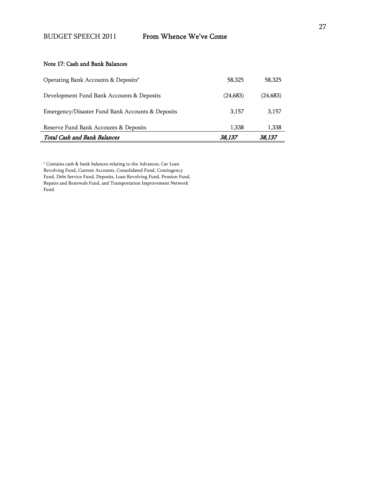#### Note 17: Cash and Bank Balances

| <b>Total Cash and Bank Balances</b>              | 38.137    | 38,137   |
|--------------------------------------------------|-----------|----------|
| Reserve Fund Bank Accounts & Deposits            | 1,338     | 1,338    |
| Emergency/Disaster Fund Bank Accounts & Deposits | 3.157     | 3,157    |
| Development Fund Bank Accounts & Deposits        | (24, 683) | (24,683) |
| Operating Bank Accounts & Deposits*              | 58,325    | 58,325   |

\* Contains cash & bank balances relating to the Advances, Car Loan Revolving Fund, Current Accounts, Consolidated Fund, Contingency Fund, Debt Service Fund, Deposits, Loan Revolving Fund, Pension Fund, Repairs and Renewals Fund, and Transportation Improvement Network Fund.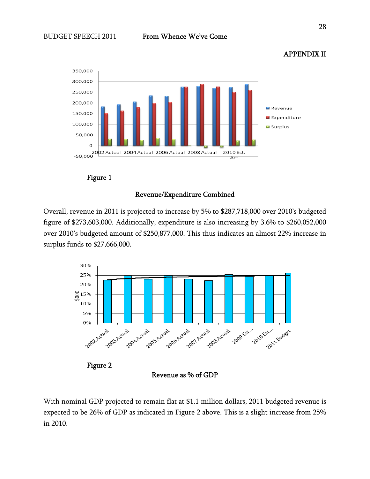

## APPENDIX II



#### Revenue/Expenditure Combined

Overall, revenue in 2011 is projected to increase by 5% to \$287,718,000 over 2010's budgeted figure of \$273,603,000. Additionally, expenditure is also increasing by 3.6% to \$260,052,000 over 2010's budgeted amount of \$250,877,000. This thus indicates an almost 22% increase in surplus funds to \$27,666,000.



With nominal GDP projected to remain flat at \$1.1 million dollars, 2011 budgeted revenue is expected to be 26% of GDP as indicated in Figure 2 above. This is a slight increase from 25% in 2010.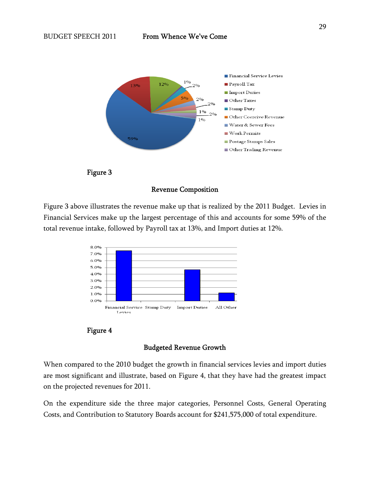



#### Revenue Composition

Figure 3 above illustrates the revenue make up that is realized by the 2011 Budget. Levies in Financial Services make up the largest percentage of this and accounts for some 59% of the total revenue intake, followed by Payroll tax at 13%, and Import duties at 12%.





#### Budgeted Revenue Growth

When compared to the 2010 budget the growth in financial services levies and import duties are most significant and illustrate, based on Figure 4, that they have had the greatest impact on the projected revenues for 2011.

On the expenditure side the three major categories, Personnel Costs, General Operating Costs, and Contribution to Statutory Boards account for \$241,575,000 of total expenditure.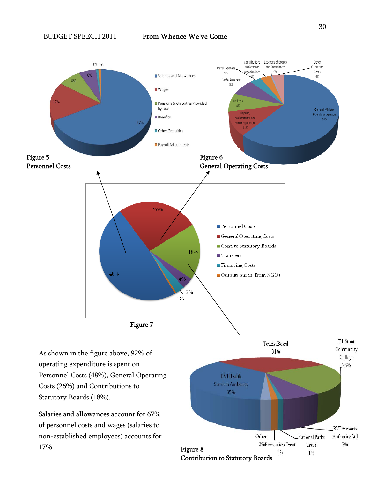

As shown in the figure above, 92% of operating expenditure is spent on Personnel Costs (48%), General Operating Costs (26%) and Contributions to Statutory Boards (18%).

Salaries and allowances account for 67% of personnel costs and wages (salaries to non-established employees) accounts for 17%.

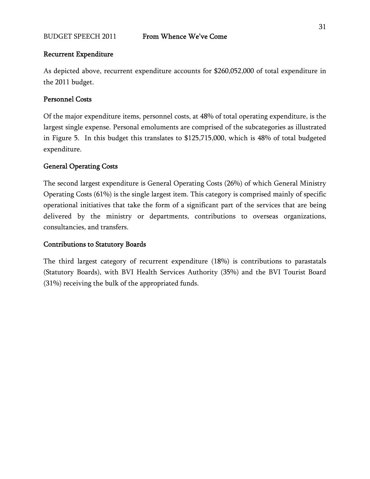#### Recurrent Expenditure

As depicted above, recurrent expenditure accounts for \$260,052,000 of total expenditure in the 2011 budget.

## Personnel Costs

Of the major expenditure items, personnel costs, at 48% of total operating expenditure, is the largest single expense. Personal emoluments are comprised of the subcategories as illustrated in Figure 5. In this budget this translates to \$125,715,000, which is 48% of total budgeted expenditure.

### General Operating Costs

The second largest expenditure is General Operating Costs (26%) of which General Ministry Operating Costs (61%) is the single largest item. This category is comprised mainly of specific operational initiatives that take the form of a significant part of the services that are being delivered by the ministry or departments, contributions to overseas organizations, consultancies, and transfers.

#### Contributions to Statutory Boards

The third largest category of recurrent expenditure (18%) is contributions to parastatals (Statutory Boards), with BVI Health Services Authority (35%) and the BVI Tourist Board (31%) receiving the bulk of the appropriated funds.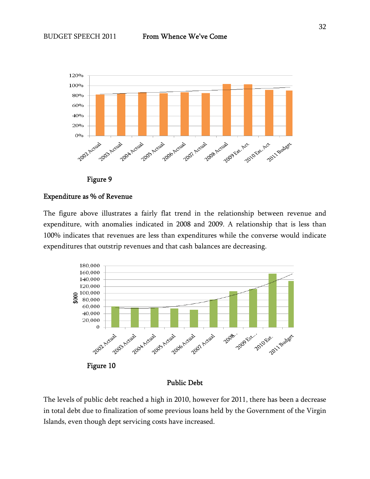

Figure 9

#### Expenditure as % of Revenue

The figure above illustrates a fairly flat trend in the relationship between revenue and expenditure, with anomalies indicated in 2008 and 2009. A relationship that is less than 100% indicates that revenues are less than expenditures while the converse would indicate expenditures that outstrip revenues and that cash balances are decreasing.



Public Debt

The levels of public debt reached a high in 2010, however for 2011, there has been a decrease in total debt due to finalization of some previous loans held by the Government of the Virgin Islands, even though dept servicing costs have increased.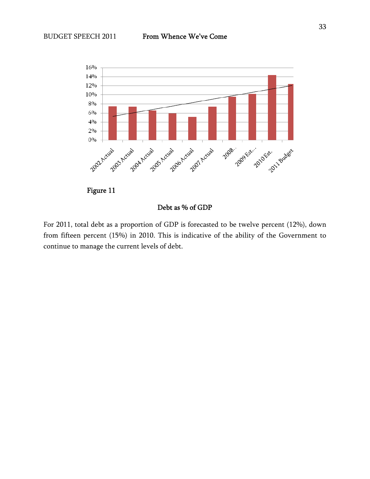

### Debt as % of GDP

For 2011, total debt as a proportion of GDP is forecasted to be twelve percent (12%), down from fifteen percent (15%) in 2010. This is indicative of the ability of the Government to continue to manage the current levels of debt.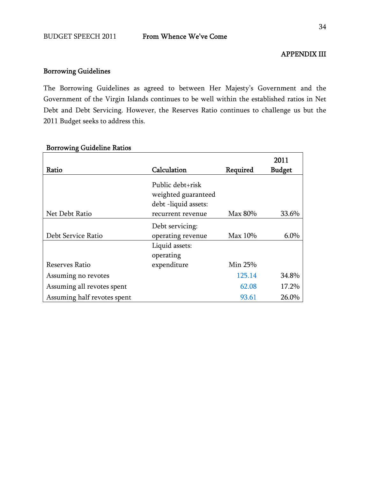## APPENDIX III

## Borrowing Guidelines

The Borrowing Guidelines as agreed to between Her Majesty's Government and the Government of the Virgin Islands continues to be well within the established ratios in Net Debt and Debt Servicing. However, the Reserves Ratio continues to challenge us but the 2011 Budget seeks to address this.

| Ratio                       | Calculation                                                     | Required | 2011<br><b>Budget</b> |
|-----------------------------|-----------------------------------------------------------------|----------|-----------------------|
|                             | Public debt+risk<br>weighted guaranteed<br>debt -liquid assets: |          |                       |
| Net Debt Ratio              | recurrent revenue                                               | Max 80%  | 33.6%                 |
|                             | Debt servicing:                                                 |          |                       |
| Debt Service Ratio          | operating revenue                                               | Max 10%  | $6.0\%$               |
|                             | Liquid assets:                                                  |          |                       |
|                             | operating                                                       |          |                       |
| Reserves Ratio              | expenditure                                                     | Min 25%  |                       |
| Assuming no revotes         |                                                                 | 125.14   | 34.8%                 |
| Assuming all revotes spent  |                                                                 | 62.08    | 17.2%                 |
| Assuming half revotes spent |                                                                 | 93.61    | 26.0%                 |

### Borrowing Guideline Ratios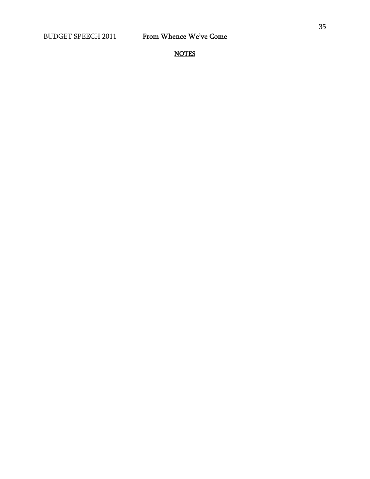**NOTES**